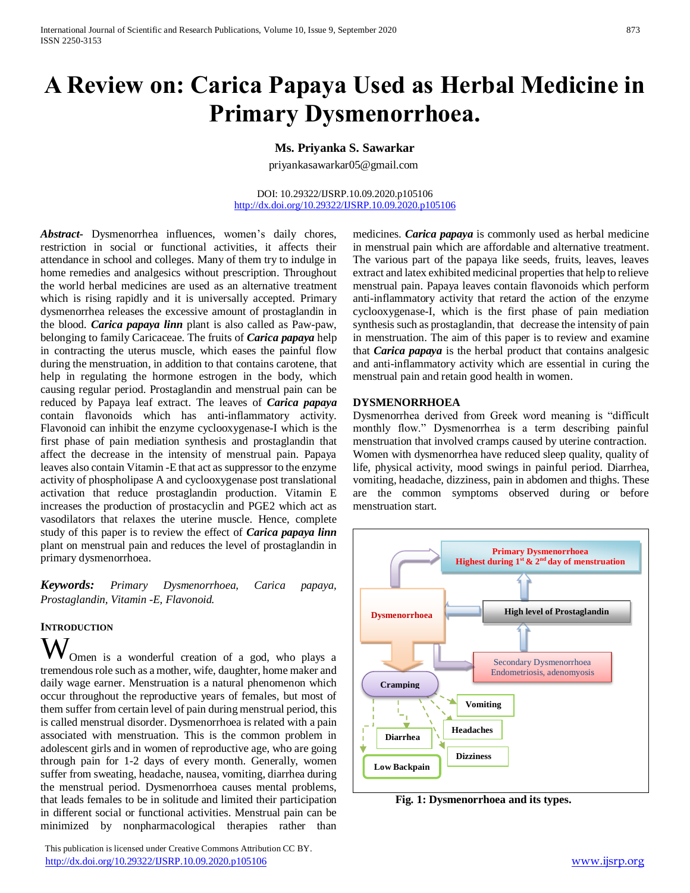# **A Review on: Carica Papaya Used as Herbal Medicine in Primary Dysmenorrhoea.**

## **Ms. Priyanka S. Sawarkar**

priyankasawarkar05@gmail.com

DOI: 10.29322/IJSRP.10.09.2020.p105106 <http://dx.doi.org/10.29322/IJSRP.10.09.2020.p105106>

*Abstract***-** Dysmenorrhea influences, women's daily chores, restriction in social or functional activities, it affects their attendance in school and colleges. Many of them try to indulge in home remedies and analgesics without prescription. Throughout the world herbal medicines are used as an alternative treatment which is rising rapidly and it is universally accepted. Primary dysmenorrhea releases the excessive amount of prostaglandin in the blood. *Carica papaya linn* plant is also called as Paw-paw, belonging to family Caricaceae. The fruits of *Carica papaya* help in contracting the uterus muscle, which eases the painful flow during the menstruation, in addition to that contains carotene, that help in regulating the hormone estrogen in the body, which causing regular period. Prostaglandin and menstrual pain can be reduced by Papaya leaf extract. The leaves of *Carica papaya* contain flavonoids which has anti-inflammatory activity. Flavonoid can inhibit the enzyme cyclooxygenase-I which is the first phase of pain mediation synthesis and prostaglandin that affect the decrease in the intensity of menstrual pain. Papaya leaves also contain Vitamin -E that act as suppressor to the enzyme activity of phospholipase A and cyclooxygenase post translational activation that reduce prostaglandin production. Vitamin E increases the production of prostacyclin and PGE2 which act as vasodilators that relaxes the uterine muscle. Hence, complete study of this paper is to review the effect of *Carica papaya linn* plant on menstrual pain and reduces the level of prostaglandin in primary dysmenorrhoea.

*Keywords: Primary Dysmenorrhoea, Carica papaya, Prostaglandin, Vitamin -E, Flavonoid.*

## **INTRODUCTION**

Omen is a wonderful creation of a god, who plays a tremendous role such as a mother, wife, daughter, home maker and daily wage earner. Menstruation is a natural phenomenon which occur throughout the reproductive years of females, but most of them suffer from certain level of pain during menstrual period, this is called menstrual disorder. Dysmenorrhoea is related with a pain associated with menstruation. This is the common problem in adolescent girls and in women of reproductive age, who are going through pain for 1-2 days of every month. Generally, women suffer from sweating, headache, nausea, vomiting, diarrhea during the menstrual period. Dysmenorrhoea causes mental problems, that leads females to be in solitude and limited their participation in different social or functional activities. Menstrual pain can be minimized by nonpharmacological therapies rather than W

 This publication is licensed under Creative Commons Attribution CC BY. <http://dx.doi.org/10.29322/IJSRP.10.09.2020.p105106> [www.ijsrp.org](http://ijsrp.org/)

medicines. *Carica papaya* is commonly used as herbal medicine in menstrual pain which are affordable and alternative treatment. The various part of the papaya like seeds, fruits, leaves, leaves extract and latex exhibited medicinal properties that help to relieve menstrual pain. Papaya leaves contain flavonoids which perform anti-inflammatory activity that retard the action of the enzyme cyclooxygenase-I, which is the first phase of pain mediation synthesis such as prostaglandin, that decrease the intensity of pain in menstruation. The aim of this paper is to review and examine that *Carica papaya* is the herbal product that contains analgesic and anti-inflammatory activity which are essential in curing the menstrual pain and retain good health in women.

#### **DYSMENORRHOEA**

Dysmenorrhea derived from Greek word meaning is "difficult monthly flow." Dysmenorrhea is a term describing painful menstruation that involved cramps caused by uterine contraction. Women with dysmenorrhea have reduced sleep quality, quality of life, physical activity, mood swings in painful period. Diarrhea, vomiting, headache, dizziness, pain in abdomen and thighs. These are the common symptoms observed during or before menstruation start.



 **Fig. 1: Dysmenorrhoea and its types.**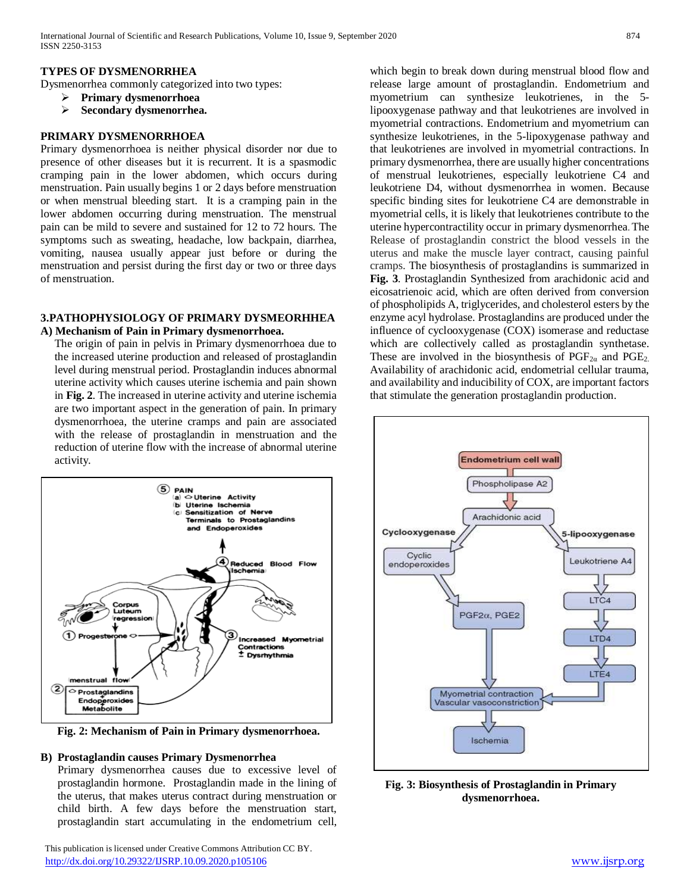## **TYPES OF DYSMENORRHEA**

Dysmenorrhea commonly categorized into two types:

- **Primary dysmenorrhoea**
- **Secondary dysmenorrhea.**

#### **PRIMARY DYSMENORRHOEA**

Primary dysmenorrhoea is neither physical disorder nor due to presence of other diseases but it is recurrent. It is a spasmodic cramping pain in the lower abdomen, which occurs during menstruation. Pain usually begins 1 or 2 days before menstruation or when menstrual bleeding start. It is a cramping pain in the lower abdomen occurring during menstruation. The menstrual pain can be mild to severe and sustained for 12 to 72 hours. The symptoms such as sweating, headache, low backpain, diarrhea, vomiting, nausea usually appear just before or during the menstruation and persist during the first day or two or three days of menstruation.

#### **3.PATHOPHYSIOLOGY OF PRIMARY DYSMEORHHEA A) Mechanism of Pain in Primary dysmenorrhoea.**

The origin of pain in pelvis in Primary dysmenorrhoea due to the increased uterine production and released of prostaglandin level during menstrual period. Prostaglandin induces abnormal uterine activity which causes uterine ischemia and pain shown in **Fig. 2**. The increased in uterine activity and uterine ischemia are two important aspect in the generation of pain. In primary dysmenorrhoea, the uterine cramps and pain are associated with the release of prostaglandin in menstruation and the reduction of uterine flow with the increase of abnormal uterine activity.



**Fig. 2: Mechanism of Pain in Primary dysmenorrhoea.**

## **B) Prostaglandin causes Primary Dysmenorrhea**

Primary dysmenorrhea causes due to excessive level of prostaglandin hormone. Prostaglandin made in the lining of the uterus, that makes uterus contract during menstruation or child birth. A few days before the menstruation start, prostaglandin start accumulating in the endometrium cell,

 This publication is licensed under Creative Commons Attribution CC BY. <http://dx.doi.org/10.29322/IJSRP.10.09.2020.p105106> [www.ijsrp.org](http://ijsrp.org/)

which begin to break down during menstrual blood flow and release large amount of prostaglandin. Endometrium and myometrium can synthesize leukotrienes, in the 5 lipooxygenase pathway and that leukotrienes are involved in myometrial contractions. Endometrium and myometrium can synthesize leukotrienes, in the 5-lipoxygenase pathway and that leukotrienes are involved in myometrial contractions. In primary dysmenorrhea, there are usually higher concentrations of menstrual leukotrienes, especially leukotriene C4 and leukotriene D4, without dysmenorrhea in women. Because specific binding sites for leukotriene C4 are demonstrable in myometrial cells, it is likely that leukotrienes contribute to the uterine hypercontractility occur in primary dysmenorrhea. The Release of prostaglandin constrict the blood vessels in the uterus and make the muscle layer contract, causing painful cramps. The biosynthesis of prostaglandins is summarized in **Fig. 3**. Prostaglandin Synthesized from arachidonic acid and eicosatrienoic acid, which are often derived from conversion of phospholipids A, triglycerides, and cholesterol esters by the enzyme acyl hydrolase. Prostaglandins are produced under the influence of cyclooxygenase (COX) isomerase and reductase which are collectively called as prostaglandin synthetase. These are involved in the biosynthesis of  $PGF_{2\alpha}$  and  $PGE_2$ . Availability of arachidonic acid, endometrial cellular trauma, and availability and inducibility of COX, are important factors that stimulate the generation prostaglandin production.



**Fig. 3: Biosynthesis of Prostaglandin in Primary dysmenorrhoea.**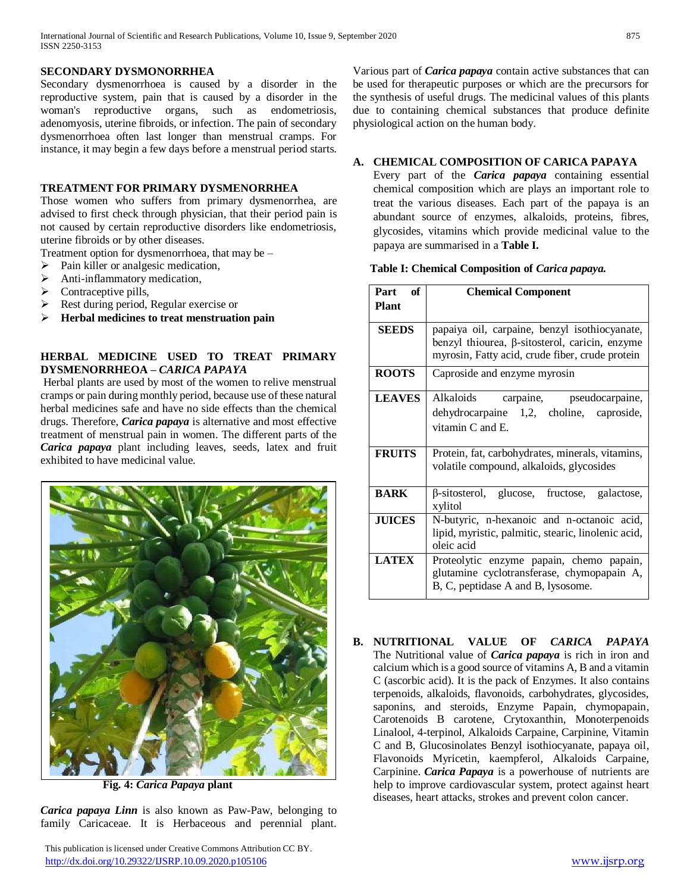#### **SECONDARY DYSMONORRHEA**

Secondary dysmenorrhoea is caused by a disorder in the reproductive system, pain that is caused by a disorder in the woman's reproductive organs, such as endometriosis, adenomyosis, uterine fibroids, or infection. The pain of secondary dysmenorrhoea often last longer than menstrual cramps. For instance, it may begin a few days before a menstrual period starts.

## **TREATMENT FOR PRIMARY DYSMENORRHEA**

Those women who suffers from primary dysmenorrhea, are advised to first check through physician, that their period pain is not caused by certain reproductive disorders like endometriosis, uterine fibroids or by other diseases.

Treatment option for dysmenorrhoea, that may be –

- $\triangleright$  Pain killer or analgesic medication,
- $\triangleright$  Anti-inflammatory medication,
- Contraceptive pills,
- Rest during period, Regular exercise or
- **Herbal medicines to treat menstruation pain**

## **HERBAL MEDICINE USED TO TREAT PRIMARY DYSMENORRHEOA –** *CARICA PAPAYA*

Herbal plants are used by most of the women to relive menstrual cramps or pain during monthly period, because use of these natural herbal medicines safe and have no side effects than the chemical drugs. Therefore, *Carica papaya* is alternative and most effective treatment of menstrual pain in women. The different parts of the *Carica papaya* plant including leaves, seeds, latex and fruit exhibited to have medicinal value.



 **Fig. 4:** *Carica Papaya* **plant**

*Carica papaya Linn* is also known as Paw-Paw, belonging to family Caricaceae. It is Herbaceous and perennial plant.

 This publication is licensed under Creative Commons Attribution CC BY. <http://dx.doi.org/10.29322/IJSRP.10.09.2020.p105106> [www.ijsrp.org](http://ijsrp.org/)

Various part of *Carica papaya* contain active substances that can be used for therapeutic purposes or which are the precursors for the synthesis of useful drugs. The medicinal values of this plants due to containing chemical substances that produce definite physiological action on the human body.

## **A. CHEMICAL COMPOSITION OF CARICA PAPAYA**

Every part of the *Carica papaya* containing essential chemical composition which are plays an important role to treat the various diseases. Each part of the papaya is an abundant source of enzymes, alkaloids, proteins, fibres, glycosides, vitamins which provide medicinal value to the papaya are summarised in a **Table I.**

#### **Table I: Chemical Composition of** *Carica papaya.*

| Part<br>of    | <b>Chemical Component</b>                                                                                                                                 |
|---------------|-----------------------------------------------------------------------------------------------------------------------------------------------------------|
| <b>Plant</b>  |                                                                                                                                                           |
| <b>SEEDS</b>  | papaiya oil, carpaine, benzyl isothiocyanate,<br>benzyl thiourea, $\beta$ -sitosterol, caricin, enzyme<br>myrosin, Fatty acid, crude fiber, crude protein |
| <b>ROOTS</b>  | Caproside and enzyme myrosin                                                                                                                              |
| <b>LEAVES</b> | Alkaloids<br>carpaine, pseudocarpaine,<br>dehydrocarpaine 1,2, choline, caproside,<br>vitamin $C$ and $E$ .                                               |
| <b>FRUITS</b> | Protein, fat, carbohydrates, minerals, vitamins,<br>volatile compound, alkaloids, glycosides                                                              |
| <b>BARK</b>   | $\beta$ -sitosterol, glucose, fructose, galactose,<br>xylitol                                                                                             |
| <b>JUICES</b> | N-butyric, n-hexanoic and n-octanoic acid,<br>lipid, myristic, palmitic, stearic, linolenic acid,<br>oleic acid                                           |
| <b>LATEX</b>  | Proteolytic enzyme papain, chemo papain,<br>glutamine cyclotransferase, chymopapain A,<br>B, C, peptidase A and B, lysosome.                              |

**B. NUTRITIONAL VALUE OF** *CARICA PAPAYA* The Nutritional value of *Carica papaya* is rich in iron and calcium which is a good source of vitamins A, B and a vitamin C (ascorbic acid). It is the pack of Enzymes. It also contains terpenoids, alkaloids, flavonoids, carbohydrates, glycosides, saponins, and steroids, Enzyme Papain, chymopapain, Carotenoids B carotene, Crytoxanthin, Monoterpenoids Linalool, 4-terpinol, Alkaloids Carpaine, Carpinine, Vitamin C and B, Glucosinolates Benzyl isothiocyanate, papaya oil, Flavonoids Myricetin, kaempferol, Alkaloids Carpaine, Carpinine. *Carica Papaya* is a powerhouse of nutrients are help to improve cardiovascular system, protect against heart diseases, heart attacks, strokes and prevent colon cancer.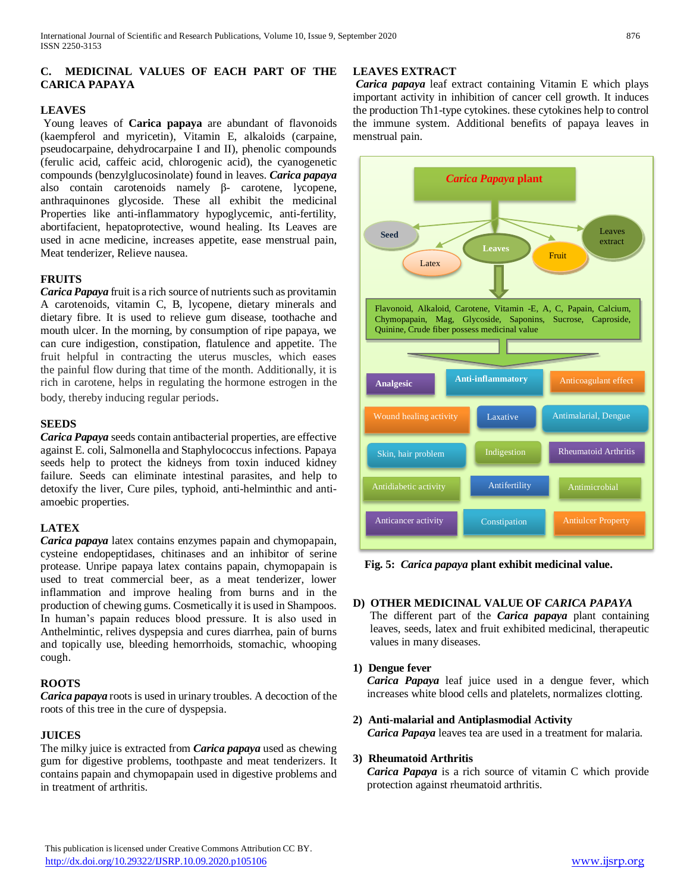## **C. MEDICINAL VALUES OF EACH PART OF THE CARICA PAPAYA**

## **LEAVES**

Young leaves of **Carica papaya** are abundant of flavonoids (kaempferol and myricetin), Vitamin E, alkaloids (carpaine, pseudocarpaine, dehydrocarpaine I and II), phenolic compounds (ferulic acid, caffeic acid, chlorogenic acid), the cyanogenetic compounds (benzylglucosinolate) found in leaves. *Carica papaya* also contain carotenoids namely β- carotene, lycopene, anthraquinones glycoside. These all exhibit the medicinal Properties like anti-inflammatory hypoglycemic, anti-fertility, abortifacient, hepatoprotective, wound healing. Its Leaves are used in acne medicine, increases appetite, ease menstrual pain, Meat tenderizer, Relieve nausea.

## **FRUITS**

*Carica Papaya* fruit is a rich source of nutrients such as provitamin A carotenoids, vitamin C, B, lycopene, dietary minerals and dietary fibre. It is used to relieve gum disease, toothache and mouth ulcer. In the morning, by consumption of ripe papaya, we can cure indigestion, constipation, flatulence and appetite. The fruit helpful in contracting the uterus muscles, which eases the painful flow during that time of the month. Additionally, it is rich in carotene, helps in regulating the hormone estrogen in the body, thereby inducing regular periods.

#### **SEEDS**

*Carica Papaya* seeds contain antibacterial properties, are effective against E. coli, Salmonella and Staphylococcus infections. Papaya seeds help to protect the kidneys from toxin induced kidney failure. Seeds can eliminate intestinal parasites, and help to detoxify the liver, Cure piles, typhoid, anti-helminthic and antiamoebic properties.

## **LATEX**

*Carica papaya* latex contains enzymes papain and chymopapain, cysteine endopeptidases, chitinases and an inhibitor of serine protease. Unripe papaya latex contains papain, chymopapain is used to treat commercial beer, as a meat tenderizer, lower inflammation and improve healing from burns and in the production of chewing gums. Cosmetically it is used in Shampoos. In human's papain reduces blood pressure. It is also used in Anthelmintic, relives dyspepsia and cures diarrhea, pain of burns and topically use, bleeding hemorrhoids, stomachic, whooping cough.

#### **ROOTS**

*Carica papaya* roots is used in urinary troubles. A decoction of the roots of this tree in the cure of dyspepsia.

#### **JUICES**

The milky juice is extracted from *Carica papaya* used as chewing gum for digestive problems, toothpaste and meat tenderizers. It contains papain and chymopapain used in digestive problems and in treatment of arthritis.

#### **LEAVES EXTRACT**

*Carica papaya* leaf extract containing Vitamin E which plays important activity in inhibition of cancer cell growth. It induces the production Th1-type cytokines. these cytokines help to control the immune system. Additional benefits of papaya leaves in menstrual pain.



 **Fig. 5:** *Carica papaya* **plant exhibit medicinal value.**

#### **D) OTHER MEDICINAL VALUE OF** *CARICA PAPAYA*

The different part of the *Carica papaya* plant containing leaves, seeds, latex and fruit exhibited medicinal, therapeutic values in many diseases.

#### **1) Dengue fever**

*Carica Papaya* leaf juice used in a dengue fever, which increases white blood cells and platelets, normalizes clotting.

**2) Anti-malarial and Antiplasmodial Activity**  *Carica Papaya* leaves tea are used in a treatment for malaria.

#### **3) Rheumatoid Arthritis**

*Carica Papaya* is a rich source of vitamin C which provide protection against rheumatoid arthritis.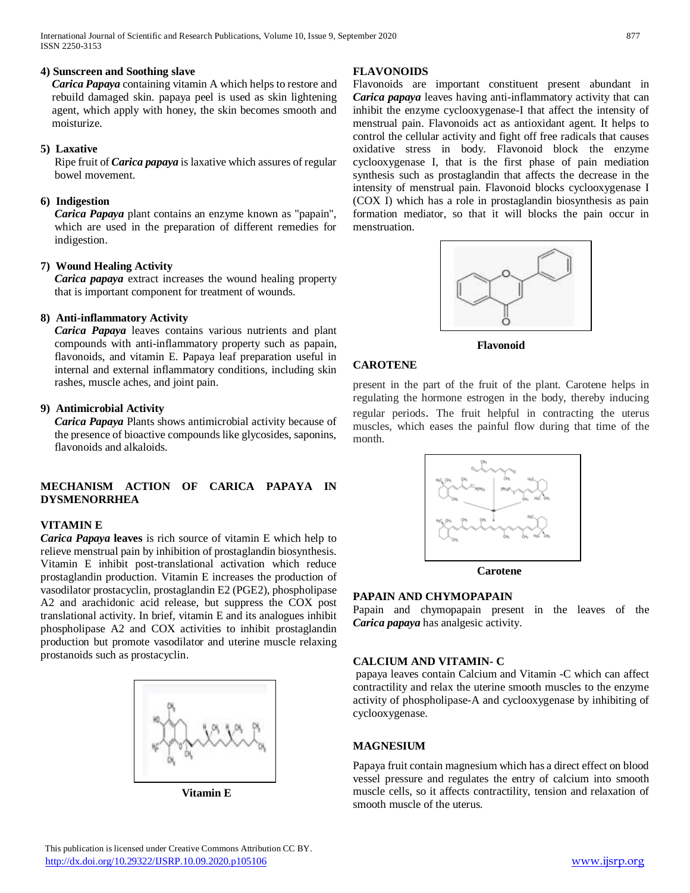## **4) Sunscreen and Soothing slave**

*Carica Papaya* containing vitamin A which helps to restore and rebuild damaged skin. papaya peel is used as skin lightening agent, which apply with honey, the skin becomes smooth and moisturize.

#### **5) Laxative**

Ripe fruit of *Carica papaya* is laxative which assures of regular bowel movement.

## **6) Indigestion**

*Carica Papaya* plant contains an enzyme known as "papain", which are used in the preparation of different remedies for indigestion.

## **7) Wound Healing Activity**

*Carica papaya* extract increases the wound healing property that is important component for treatment of wounds.

## **8) Anti-inflammatory Activity**

*Carica Papaya* leaves contains various nutrients and plant compounds with anti-inflammatory property such as papain, flavonoids, and vitamin E. Papaya leaf preparation useful in internal and external inflammatory conditions, including skin rashes, muscle aches, and joint pain.

## **9) Antimicrobial Activity**

*Carica Papaya* Plants shows antimicrobial activity because of the presence of bioactive compounds like glycosides, saponins, flavonoids and alkaloids.

## **MECHANISM ACTION OF CARICA PAPAYA IN DYSMENORRHEA**

#### **VITAMIN E**

*Carica Papaya* **leaves** is rich source of vitamin E which help to relieve menstrual pain by inhibition of prostaglandin biosynthesis. Vitamin E inhibit post-translational activation which reduce prostaglandin production. Vitamin E increases the production of vasodilator prostacyclin, prostaglandin E2 (PGE2), phospholipase A2 and arachidonic acid release, but suppress the COX post translational activity. In brief, vitamin E and its analogues inhibit phospholipase A2 and COX activities to inhibit prostaglandin production but promote vasodilator and uterine muscle relaxing prostanoids such as prostacyclin.



 **Vitamin E**

## **FLAVONOIDS**

Flavonoids are important constituent present abundant in *Carica papaya* leaves having anti-inflammatory activity that can inhibit the enzyme cyclooxygenase-I that affect the intensity of menstrual pain. Flavonoids act as antioxidant agent. It helps to control the cellular activity and fight off free radicals that causes oxidative stress in body. Flavonoid block the enzyme cyclooxygenase I, that is the first phase of pain mediation synthesis such as prostaglandin that affects the decrease in the intensity of menstrual pain. Flavonoid blocks cyclooxygenase I (COX I) which has a role in prostaglandin biosynthesis as pain formation mediator, so that it will blocks the pain occur in menstruation.



**Flavonoid** 

## **CAROTENE**

present in the part of the fruit of the plant. Carotene helps in regulating the hormone estrogen in the body, thereby inducing regular periods. The fruit helpful in contracting the uterus muscles, which eases the painful flow during that time of the month.



 **Carotene**

## **PAPAIN AND CHYMOPAPAIN**

Papain and chymopapain present in the leaves of the *Carica papaya* has analgesic activity.

#### **CALCIUM AND VITAMIN- C**

papaya leaves contain Calcium and Vitamin -C which can affect contractility and relax the uterine smooth muscles to the enzyme activity of phospholipase-A and cyclooxygenase by inhibiting of cyclooxygenase.

#### **MAGNESIUM**

Papaya fruit contain magnesium which has a direct effect on blood vessel pressure and regulates the entry of calcium into smooth muscle cells, so it affects contractility, tension and relaxation of smooth muscle of the uterus.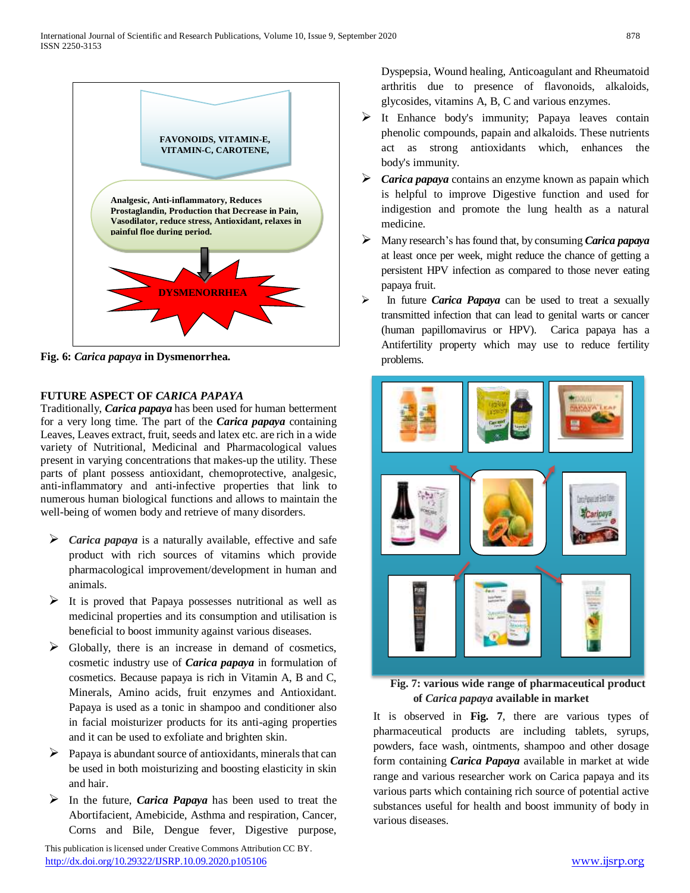

**Fig. 6:** *Carica papaya* **in Dysmenorrhea.**

## **FUTURE ASPECT OF** *CARICA PAPAYA*

Traditionally, *Carica papaya* has been used for human betterment for a very long time. The part of the *Carica papaya* containing Leaves, Leaves extract, fruit, seeds and latex etc. are rich in a wide variety of Nutritional, Medicinal and Pharmacological values present in varying concentrations that makes-up the utility. These parts of plant possess antioxidant, chemoprotective, analgesic, anti-inflammatory and anti-infective properties that link to numerous human biological functions and allows to maintain the well-being of women body and retrieve of many disorders.

- *Carica papaya* is a naturally available, effective and safe product with rich sources of vitamins which provide pharmacological improvement/development in human and animals.
- $\triangleright$  It is proved that Papaya possesses nutritional as well as medicinal properties and its consumption and utilisation is beneficial to boost immunity against various diseases.
- $\triangleright$  Globally, there is an increase in demand of cosmetics, cosmetic industry use of *Carica papaya* in formulation of cosmetics. Because papaya is rich in Vitamin A, B and C, Minerals, Amino acids, fruit enzymes and Antioxidant. Papaya is used as a tonic in shampoo and conditioner also in facial moisturizer products for its anti-aging properties and it can be used to exfoliate and brighten skin.
- $\triangleright$  Papaya is abundant source of antioxidants, minerals that can be used in both moisturizing and boosting elasticity in skin and hair.
- In the future, *Carica Papaya* has been used to treat the Abortifacient, Amebicide, Asthma and respiration, Cancer, Corns and Bile, Dengue fever, Digestive purpose,

 This publication is licensed under Creative Commons Attribution CC BY. <http://dx.doi.org/10.29322/IJSRP.10.09.2020.p105106> [www.ijsrp.org](http://ijsrp.org/)

Dyspepsia, Wound healing, Anticoagulant and Rheumatoid arthritis due to presence of flavonoids, alkaloids, glycosides, vitamins A, B, C and various enzymes.

- It Enhance body's immunity; Papaya leaves contain phenolic compounds, papain and alkaloids. These nutrients act as strong antioxidants which, enhances the body's immunity.
- *Carica papaya* contains an enzyme known as papain which is helpful to improve Digestive function and used for indigestion and promote the lung health as a natural medicine.
- Many research's has found that, by consuming *Carica papaya* at least once per week, might reduce the chance of getting a persistent HPV infection as compared to those never eating papaya fruit.
- In future *Carica Papaya* can be used to treat a sexually transmitted infection that can lead to genital warts or cancer (human papillomavirus or HPV). Carica papaya has a Antifertility property which may use to reduce fertility problems.



 **Fig. 7: various wide range of pharmaceutical product of** *Carica papaya* **available in market**

It is observed in **Fig. 7**, there are various types of pharmaceutical products are including tablets, syrups, powders, face wash, ointments, shampoo and other dosage form containing *Carica Papaya* available in market at wide range and various researcher work on Carica papaya and its various parts which containing rich source of potential active substances useful for health and boost immunity of body in various diseases.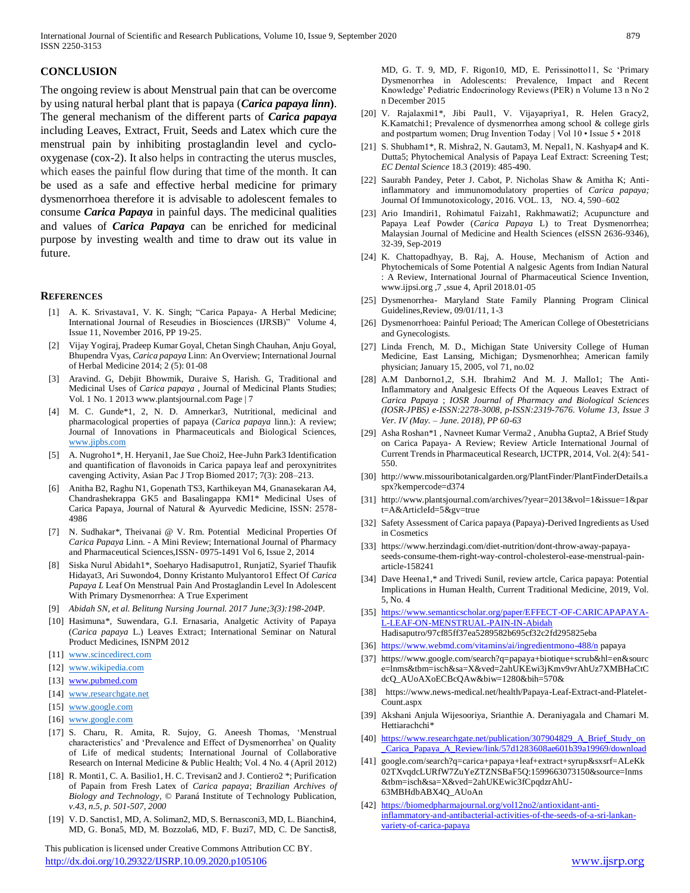# **CONCLUSION**

The ongoing review is about Menstrual pain that can be overcome by using natural herbal plant that is papaya (*Carica papaya linn***)**. The general mechanism of the different parts of *Carica papaya* including Leaves, Extract, Fruit, Seeds and Latex which cure the menstrual pain by inhibiting prostaglandin level and cyclooxygenase (cox-2). It also helps in contracting the uterus muscles, which eases the painful flow during that time of the month. It can be used as a safe and effective herbal medicine for primary dysmenorrhoea therefore it is advisable to adolescent females to consume *Carica Papaya* in painful days. The medicinal qualities and values of *Carica Papaya* can be enriched for medicinal purpose by investing wealth and time to draw out its value in future.

#### **REFERENCES**

- [1] A. K. Srivastava1, V. K. Singh; "Carica Papaya- A Herbal Medicine; International Journal of Reseudies in Biosciences (IJRSB)" Volume 4, Issue 11, November 2016, PP 19-25.
- [2] Vijay Yogiraj, Pradeep Kumar Goyal, Chetan Singh Chauhan, Anju Goyal, Bhupendra Vyas, *Carica papaya* Linn: An Overview; International Journal of Herbal Medicine 2014; 2 (5): 01-08
- [3] Aravind. G, Debjit Bhowmik, Duraive S, Harish. G, Traditional and Medicinal Uses of *Carica papaya* , Journal of Medicinal Plants Studies; Vol. 1 No. 1 2013 www.plantsjournal.com Page | 7
- [4] M. C. Gunde\*1, 2, N. D. Amnerkar3, Nutritional, medicinal and pharmacological properties of papaya (*Carica papaya* linn.): A review; Journal of Innovations in Pharmaceuticals and Biological Sciences, [www.jipbs.com](http://www.jipbs.com/)
- [5] A. Nugroho1\*, H. Heryani1, Jae Sue Choi2, Hee-Juhn Park3 Identification and quantification of flavonoids in Carica papaya leaf and peroxynitrites cavenging Activity, Asian Pac J Trop Biomed 2017; 7(3): 208–213.
- [6] Anitha B2, Raghu N1, Gopenath TS3, Karthikeyan M4, Gnanasekaran A4, Chandrashekrappa GK5 and Basalingappa KM1\* Medicinal Uses of Carica Papaya, Journal of Natural & Ayurvedic Medicine, ISSN: 2578- 4986
- [7] N. Sudhakar\*, Theivanai @ V. Rm. Potential Medicinal Properties Of *Carica Papaya* Linn. - A Mini Review; International Journal of Pharmacy and Pharmaceutical Sciences,ISSN- 0975-1491 Vol 6, Issue 2, 2014
- [8] Siska Nurul Abidah1\*, Soeharyo Hadisaputro1, Runjati2, Syarief Thaufik Hidayat3, Ari Suwondo4, Donny Kristanto Mulyantoro1 Effect Of *Carica Papaya L* Leaf On Menstrual Pain And Prostaglandin Level In Adolescent With Primary Dysmenorrhea: A True Experiment
- [9] *Abidah SN, et al. Belitung Nursing Journal. 2017 June;3(3):198-204*P.
- [10] Hasimuna\*, Suwendara, G.I. Ernasaria, Analgetic Activity of Papaya (*Carica papaya* L.) Leaves Extract; International Seminar on Natural Product Medicines, ISNPM 2012
- [11] [www.scincedirect.com](http://www.scincedirect.com/)
- [12] [www.wikipedia.com](http://www.wikipedia.com/)
- [13] [www.pubmed.com](http://www.pubmed.com/)
- [14] [www.researchgate.net](http://www.researchgate.net/)
- [15] [www.google.com](http://www.google.com/)
- [16] [www.google.com](http://www.google.com/)
- [17] S. Charu, R. Amita, R. Sujoy, G. Aneesh Thomas, 'Menstrual characteristics' and 'Prevalence and Effect of Dysmenorrhea' on Quality of Life of medical students; International Journal of Collaborative Research on Internal Medicine & Public Health; Vol. 4 No. 4 (April 2012)
- [18] R. Monti1, C. A. Basilio1, H. C. Trevisan2 and J. Contiero2 \*; Purification of Papain from Fresh Latex of *Carica papaya*; *Brazilian Archives of Biology and Technology,* © Paraná Institute of Technology Publication, *v.43, n.5, p. 501-507, 2000*
- [19] V. D. Sanctis1, MD, A. Soliman2, MD, S. Bernasconi3, MD, L. Bianchin4, MD, G. Bona5, MD, M. Bozzola6, MD, F. Buzi7, MD, C. De Sanctis8,

 This publication is licensed under Creative Commons Attribution CC BY. <http://dx.doi.org/10.29322/IJSRP.10.09.2020.p105106> [www.ijsrp.org](http://ijsrp.org/)

MD, G. T. 9, MD, F. Rigon10, MD, E. Perissinotto11, Sc 'Primary Dysmenorrhea in Adolescents: Prevalence, Impact and Recent Knowledge' Pediatric Endocrinology Reviews (PER) n Volume 13 n No 2 n December 2015

- [20] V. Rajalaxmi1\*, Jibi Paul1, V. Vijayapriya1, R. Helen Gracy2, K.Kamatchi1; Prevalence of dysmenorrhea among school & college girls and postpartum women; Drug Invention Today | Vol 10 • Issue 5 • 2018
- [21] S. Shubham1\*, R. Mishra2, N. Gautam3, M. Nepal1, N. Kashyap4 and K. Dutta5; Phytochemical Analysis of Papaya Leaf Extract: Screening Test; *EC Dental Science* 18.3 (2019): 485-490.
- [22] Saurabh Pandey, Peter J. Cabot, P. Nicholas Shaw & Amitha K; Antiinflammatory and immunomodulatory properties of *Carica papaya;*  Journal Of Immunotoxicology, 2016. VOL. 13, NO. 4, 590–602
- [23] Ario Imandiri1, Rohimatul Faizah1, Rakhmawati2; Acupuncture and Papaya Leaf Powder (*Carica Papaya* L) to Treat Dysmenorrhea; Malaysian Journal of Medicine and Health Sciences (eISSN 2636-9346), 32-39, Sep-2019
- [24] K. Chattopadhyay, B. Raj, A. House, Mechanism of Action and Phytochemicals of Some Potential A nalgesic Agents from Indian Natural : A Review, International Journal of Pharmaceutical Science Invention, www.ijpsi.org ,7 ,ssue 4, April 2018.01-05
- [25] Dysmenorrhea- Maryland State Family Planning Program Clinical Guidelines,Review, 09/01/11, 1-3
- [26] Dysmenorrhoea: Painful Perioad; The American College of Obestetricians and Gynecologists.
- [27] Linda French, M. D., Michigan State University College of Human Medicine, East Lansing, Michigan; Dysmenorhhea; American family physician; January 15, 2005, vol 71, no.02
- [28] A.M Danborno1,2, S.H. Ibrahim2 And M. J. Mallo1; The Anti-Inflammatory and Analgesic Effects Of the Aqueous Leaves Extract of *Carica Papaya* ; *IOSR Journal of Pharmacy and Biological Sciences (IOSR-JPBS) e-ISSN:2278-3008, p-ISSN:2319-7676. Volume 13, Issue 3 Ver. IV (May. – June. 2018), PP 60-63*
- [29] Asha Roshan\*1 , Navneet Kumar Verma2 , Anubha Gupta2, A Brief Study on Carica Papaya- A Review; Review Article International Journal of Current Trends in Pharmaceutical Research, IJCTPR, 2014, Vol. 2(4): 541- 550.
- [30] http://www.missouribotanicalgarden.org/PlantFinder/PlantFinderDetails.a spx?kempercode=d374
- [31] http://www.plantsjournal.com/archives/?year=2013&vol=1&issue=1&par t=A&ArticleId=5&gv=true
- [32] Safety Assessment of Carica papaya (Papaya)-Derived Ingredients as Used in Cosmetics
- [33] https://www.herzindagi.com/diet-nutrition/dont-throw-away-papayaseeds-consume-them-right-way-control-cholesterol-ease-menstrual-painarticle-158241
- [34] Dave Heena1,\* and Trivedi Sunil, review artcle, Carica papaya: Potential Implications in Human Health, Current Traditional Medicine, 2019, Vol. 5, No. 4
- [35] [https://www.semanticscholar.org/paper/EFFECT-OF-CARICAPAPAYA-](https://www.semanticscholar.org/paper/EFFECT-OF-CARICAPAPAYA-L-LEAF-ON-MENSTRUAL-PAIN-IN-Abidah)[L-LEAF-ON-MENSTRUAL-PAIN-IN-Abidah](https://www.semanticscholar.org/paper/EFFECT-OF-CARICAPAPAYA-L-LEAF-ON-MENSTRUAL-PAIN-IN-Abidah) Hadisaputro/97cf85ff37ea5289582b695cf32c2fd295825eba
- [36] <https://www.webmd.com/vitamins/ai/ingredientmono-488/n> papaya
- [37] https://www.google.com/search?q=papaya+biotique+scrub&hl=en&sourc e=lnms&tbm=isch&sa=X&ved=2ahUKEwi3jKmv9vrAhUz7XMBHaCtC dcQ\_AUoAXoECBcQAw&biw=1280&bih=570&
- [38] https://www.news-medical.net/health/Papaya-Leaf-Extract-and-Platelet-Count.aspx
- [39] Akshani Anjula Wijesooriya, Srianthie A. Deraniyagala and Chamari M. Hettiarachchi\*
- [40] [https://www.researchgate.net/publication/307904829\\_A\\_Brief\\_Study\\_on](https://www.researchgate.net/publication/307904829_A_Brief_Study_on_Carica_Papaya_A_Review/link/57d1283608ae601b39a19969/download) [\\_Carica\\_Papaya\\_A\\_Review/link/57d1283608ae601b39a19969/download](https://www.researchgate.net/publication/307904829_A_Brief_Study_on_Carica_Papaya_A_Review/link/57d1283608ae601b39a19969/download)
- [41] google.com/search?q=carica+papaya+leaf+extract+syrup&sxsrf=ALeKk 02TXvqdcLURfW7ZuYeZTZNSBaF5Q:1599663073150&source=lnms &tbm=isch&sa=X&ved=2ahUKEwic3fCpqdzrAhU-63MBHdbABX4Q\_AUoAn
- [42] [https://biomedpharmajournal.org/vol12no2/antioxidant-anti](https://biomedpharmajournal.org/vol12no2/antioxidant-anti-inflammatory-and-antibacterial-activities-of-the-seeds-of-a-sri-lankan-variety-of-carica-papaya)[inflammatory-and-antibacterial-activities-of-the-seeds-of-a-sri-lankan](https://biomedpharmajournal.org/vol12no2/antioxidant-anti-inflammatory-and-antibacterial-activities-of-the-seeds-of-a-sri-lankan-variety-of-carica-papaya)[variety-of-carica-papaya](https://biomedpharmajournal.org/vol12no2/antioxidant-anti-inflammatory-and-antibacterial-activities-of-the-seeds-of-a-sri-lankan-variety-of-carica-papaya)